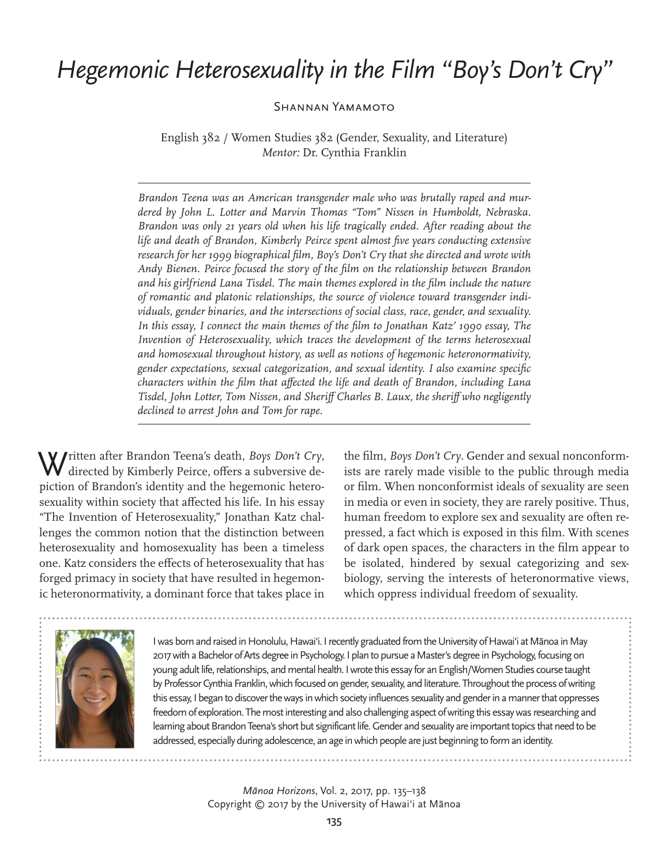## *Hegemonic Heterosexuality in the Film "Boy's Don't Cry"*

Shannan Yamamoto

English 382 / Women Studies 382 (Gender, Sexuality, and Literature) *Mentor:* Dr. Cynthia Franklin

*Brandon Teena was an American transgender male who was brutally raped and murdered by John L. Lotter and Marvin Thomas "Tom" Nissen in Humboldt, Nebraska. Brandon was only 21 years old when his life tragically ended. After reading about the life and death of Brandon, Kimberly Peirce spent almost five years conducting extensive research for her 1999 biographical film, Boy's Don't Cry that she directed and wrote with Andy Bienen. Peirce focused the story of the film on the relationship between Brandon and his girlfriend Lana Tisdel. The main themes explored in the film include the nature of romantic and platonic relationships, the source of violence toward transgender individuals, gender binaries, and the intersections of social class, race, gender, and sexuality. In this essay, I connect the main themes of the film to Jonathan Katz' 1990 essay, The Invention of Heterosexuality, which traces the development of the terms heterosexual and homosexual throughout history, as well as notions of hegemonic heteronormativity, gender expectations, sexual categorization, and sexual identity. I also examine specific characters within the film that affected the life and death of Brandon, including Lana Tisdel, John Lotter, Tom Nissen, and Sheriff Charles B. Laux, the sheriff who negligently declined to arrest John and Tom for rape.* 

Written after Brandon Teena's death, *Boys Don't Cry*, directed by Kimberly Peirce, offers a subversive depiction of Brandon's identity and the hegemonic heterosexuality within society that affected his life. In his essay "The Invention of Heterosexuality," Jonathan Katz challenges the common notion that the distinction between heterosexuality and homosexuality has been a timeless one. Katz considers the effects of heterosexuality that has forged primacy in society that have resulted in hegemonic heteronormativity, a dominant force that takes place in

the film, *Boys Don't Cry*. Gender and sexual nonconformists are rarely made visible to the public through media or film. When nonconformist ideals of sexuality are seen in media or even in society, they are rarely positive. Thus, human freedom to explore sex and sexuality are often repressed, a fact which is exposed in this film. With scenes of dark open spaces, the characters in the film appear to be isolated, hindered by sexual categorizing and sexbiology, serving the interests of heteronormative views, which oppress individual freedom of sexuality.



I was born and raised in Honolulu, Hawai'i. I recently graduated from the University of Hawai'i at Mānoa in May 2017 with a Bachelor of Arts degree in Psychology. I plan to pursue a Master's degree in Psychology, focusing on young adult life, relationships, and mental health. I wrote this essay for an English/Women Studies course taught by Professor Cynthia Franklin, which focused on gender, sexuality, and literature. Throughout the process of writing this essay, I began to discover the ways in which society influences sexuality and gender in a manner that oppresses freedom of exploration. The most interesting and also challenging aspect of writing this essay was researching and learning about Brandon Teena's short but significant life. Gender and sexuality are important topics that need to be addressed, especially during adolescence, an age in which people are just beginning to form an identity.

> *Mānoa Horizons*, Vol. 2, 2017, pp. 135–138 Copyright © 2017 by the University of Hawai'i at Mānoa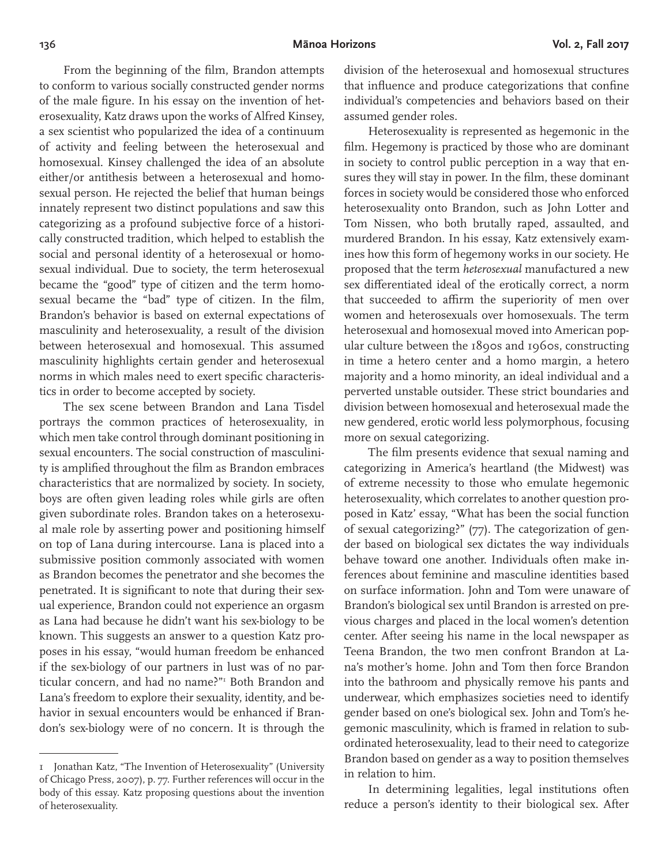From the beginning of the film, Brandon attempts to conform to various socially constructed gender norms of the male figure. In his essay on the invention of heterosexuality, Katz draws upon the works of Alfred Kinsey, a sex scientist who popularized the idea of a continuum of activity and feeling between the heterosexual and homosexual. Kinsey challenged the idea of an absolute either/or antithesis between a heterosexual and homosexual person. He rejected the belief that human beings innately represent two distinct populations and saw this categorizing as a profound subjective force of a historically constructed tradition, which helped to establish the social and personal identity of a heterosexual or homosexual individual. Due to society, the term heterosexual became the "good" type of citizen and the term homosexual became the "bad" type of citizen. In the film, Brandon's behavior is based on external expectations of masculinity and heterosexuality, a result of the division between heterosexual and homosexual. This assumed masculinity highlights certain gender and heterosexual norms in which males need to exert specific characteristics in order to become accepted by society.

The sex scene between Brandon and Lana Tisdel portrays the common practices of heterosexuality, in which men take control through dominant positioning in sexual encounters. The social construction of masculinity is amplified throughout the film as Brandon embraces characteristics that are normalized by society. In society, boys are often given leading roles while girls are often given subordinate roles. Brandon takes on a heterosexual male role by asserting power and positioning himself on top of Lana during intercourse. Lana is placed into a submissive position commonly associated with women as Brandon becomes the penetrator and she becomes the penetrated. It is significant to note that during their sexual experience, Brandon could not experience an orgasm as Lana had because he didn't want his sex-biology to be known. This suggests an answer to a question Katz proposes in his essay, "would human freedom be enhanced if the sex-biology of our partners in lust was of no particular concern, and had no name?"1 Both Brandon and Lana's freedom to explore their sexuality, identity, and behavior in sexual encounters would be enhanced if Brandon's sex-biology were of no concern. It is through the

division of the heterosexual and homosexual structures that influence and produce categorizations that confine individual's competencies and behaviors based on their assumed gender roles.

Heterosexuality is represented as hegemonic in the film. Hegemony is practiced by those who are dominant in society to control public perception in a way that ensures they will stay in power. In the film, these dominant forces in society would be considered those who enforced heterosexuality onto Brandon, such as John Lotter and Tom Nissen, who both brutally raped, assaulted, and murdered Brandon. In his essay, Katz extensively examines how this form of hegemony works in our society. He proposed that the term *heterosexual* manufactured a new sex differentiated ideal of the erotically correct, a norm that succeeded to affirm the superiority of men over women and heterosexuals over homosexuals. The term heterosexual and homosexual moved into American popular culture between the 1890s and 1960s, constructing in time a hetero center and a homo margin, a hetero majority and a homo minority, an ideal individual and a perverted unstable outsider. These strict boundaries and division between homosexual and heterosexual made the new gendered, erotic world less polymorphous, focusing more on sexual categorizing.

The film presents evidence that sexual naming and categorizing in America's heartland (the Midwest) was of extreme necessity to those who emulate hegemonic heterosexuality, which correlates to another question proposed in Katz' essay, "What has been the social function of sexual categorizing?" (77). The categorization of gender based on biological sex dictates the way individuals behave toward one another. Individuals often make inferences about feminine and masculine identities based on surface information. John and Tom were unaware of Brandon's biological sex until Brandon is arrested on previous charges and placed in the local women's detention center. After seeing his name in the local newspaper as Teena Brandon, the two men confront Brandon at Lana's mother's home. John and Tom then force Brandon into the bathroom and physically remove his pants and underwear, which emphasizes societies need to identify gender based on one's biological sex. John and Tom's hegemonic masculinity, which is framed in relation to subordinated heterosexuality, lead to their need to categorize Brandon based on gender as a way to position themselves in relation to him.

In determining legalities, legal institutions often reduce a person's identity to their biological sex. After

<sup>1</sup> Jonathan Katz, "The Invention of Heterosexuality" (University of Chicago Press, 2007), p. 77. Further references will occur in the body of this essay. Katz proposing questions about the invention of heterosexuality.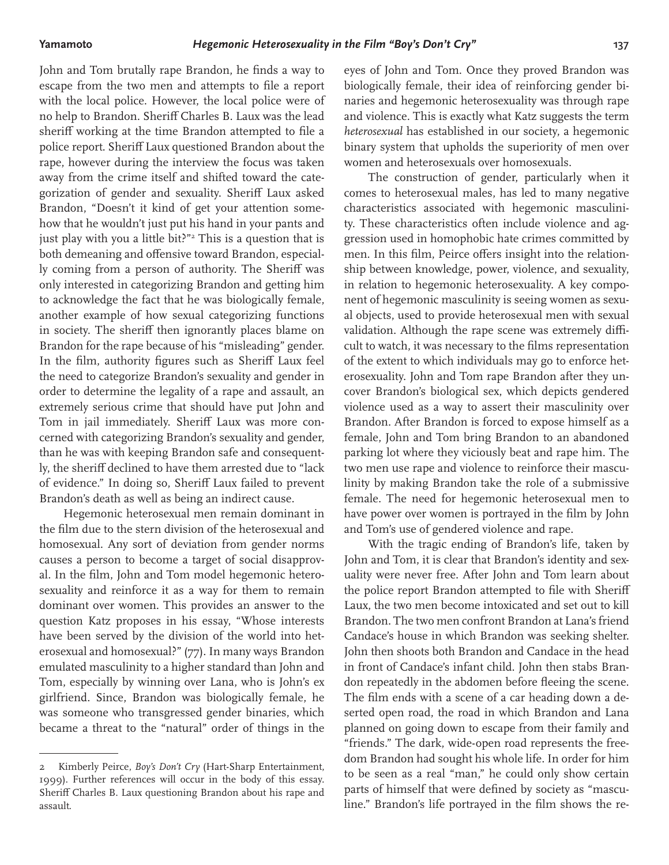John and Tom brutally rape Brandon, he finds a way to escape from the two men and attempts to file a report with the local police. However, the local police were of no help to Brandon. Sheriff Charles B. Laux was the lead sheriff working at the time Brandon attempted to file a police report. Sheriff Laux questioned Brandon about the rape, however during the interview the focus was taken away from the crime itself and shifted toward the categorization of gender and sexuality. Sheriff Laux asked Brandon, "Doesn't it kind of get your attention somehow that he wouldn't just put his hand in your pants and just play with you a little bit?"2 This is a question that is both demeaning and offensive toward Brandon, especially coming from a person of authority. The Sheriff was only interested in categorizing Brandon and getting him to acknowledge the fact that he was biologically female, another example of how sexual categorizing functions in society. The sheriff then ignorantly places blame on Brandon for the rape because of his "misleading" gender. In the film, authority figures such as Sheriff Laux feel the need to categorize Brandon's sexuality and gender in order to determine the legality of a rape and assault, an extremely serious crime that should have put John and Tom in jail immediately. Sheriff Laux was more concerned with categorizing Brandon's sexuality and gender, than he was with keeping Brandon safe and consequently, the sheriff declined to have them arrested due to "lack of evidence." In doing so, Sheriff Laux failed to prevent Brandon's death as well as being an indirect cause.

Hegemonic heterosexual men remain dominant in the film due to the stern division of the heterosexual and homosexual. Any sort of deviation from gender norms causes a person to become a target of social disapproval. In the film, John and Tom model hegemonic heterosexuality and reinforce it as a way for them to remain dominant over women. This provides an answer to the question Katz proposes in his essay, "Whose interests have been served by the division of the world into heterosexual and homosexual?" (77). In many ways Brandon emulated masculinity to a higher standard than John and Tom, especially by winning over Lana, who is John's ex girlfriend. Since, Brandon was biologically female, he was someone who transgressed gender binaries, which became a threat to the "natural" order of things in the

eyes of John and Tom. Once they proved Brandon was biologically female, their idea of reinforcing gender binaries and hegemonic heterosexuality was through rape and violence. This is exactly what Katz suggests the term *heterosexual* has established in our society, a hegemonic binary system that upholds the superiority of men over women and heterosexuals over homosexuals.

The construction of gender, particularly when it comes to heterosexual males, has led to many negative characteristics associated with hegemonic masculinity. These characteristics often include violence and aggression used in homophobic hate crimes committed by men. In this film, Peirce offers insight into the relationship between knowledge, power, violence, and sexuality, in relation to hegemonic heterosexuality. A key component of hegemonic masculinity is seeing women as sexual objects, used to provide heterosexual men with sexual validation. Although the rape scene was extremely difficult to watch, it was necessary to the films representation of the extent to which individuals may go to enforce heterosexuality. John and Tom rape Brandon after they uncover Brandon's biological sex, which depicts gendered violence used as a way to assert their masculinity over Brandon. After Brandon is forced to expose himself as a female, John and Tom bring Brandon to an abandoned parking lot where they viciously beat and rape him. The two men use rape and violence to reinforce their masculinity by making Brandon take the role of a submissive female. The need for hegemonic heterosexual men to have power over women is portrayed in the film by John and Tom's use of gendered violence and rape.

With the tragic ending of Brandon's life, taken by John and Tom, it is clear that Brandon's identity and sexuality were never free. After John and Tom learn about the police report Brandon attempted to file with Sheriff Laux, the two men become intoxicated and set out to kill Brandon. The two men confront Brandon at Lana's friend Candace's house in which Brandon was seeking shelter. John then shoots both Brandon and Candace in the head in front of Candace's infant child. John then stabs Brandon repeatedly in the abdomen before fleeing the scene. The film ends with a scene of a car heading down a deserted open road, the road in which Brandon and Lana planned on going down to escape from their family and "friends." The dark, wide-open road represents the freedom Brandon had sought his whole life. In order for him to be seen as a real "man," he could only show certain parts of himself that were defined by society as "masculine." Brandon's life portrayed in the film shows the re-

<sup>2</sup> Kimberly Peirce, *Boy's Don't Cry* (Hart-Sharp Entertainment, 1999). Further references will occur in the body of this essay. Sheriff Charles B. Laux questioning Brandon about his rape and assault.